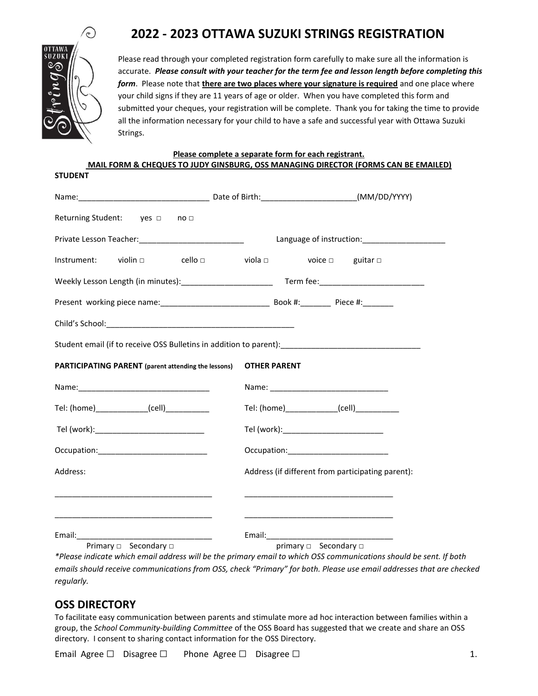# **2022 - 2023 OTTAWA SUZUKI STRINGS REGISTRATION**



Please read through your completed registration form carefully to make sure all the information is accurate. *Please consult with your teacher for the term fee and lesson length before completing this form*. Please note that **there are two places where your signature is required** and one place where your child signs if they are 11 years of age or older. When you have completed this form and submitted your cheques, your registration will be complete. Thank you for taking the time to provide all the information necessary for your child to have a safe and successful year with Ottawa Suzuki Strings.

**Please complete a separate form for each registrant. MAIL FORM & CHEQUES TO JUDY GINSBURG, OSS MANAGING DIRECTOR (FORMS CAN BE EMAILED) STUDENT**

| Returning Student: yes □ no □                              |                                                                                                     |
|------------------------------------------------------------|-----------------------------------------------------------------------------------------------------|
|                                                            | Language of instruction: ________________________                                                   |
|                                                            | Instrument: violin $\square$ cello $\square$ viola $\square$ voice $\square$ guitar $\square$       |
|                                                            |                                                                                                     |
|                                                            |                                                                                                     |
|                                                            |                                                                                                     |
|                                                            | Student email (if to receive OSS Bulletins in addition to parent):_________________________________ |
| <b>PARTICIPATING PARENT</b> (parent attending the lessons) | <b>OTHER PARENT</b>                                                                                 |
|                                                            |                                                                                                     |
| Tel: (home) (cell)                                         | Tel: (home)_______________(cell)____________                                                        |
| Tel (work):______________________________                  | Tel (work):________________________________                                                         |
|                                                            |                                                                                                     |
| Address:                                                   | Address (if different from participating parent):                                                   |
|                                                            |                                                                                                     |
|                                                            |                                                                                                     |
| Primary D Secondary D                                      | primary <b>D</b> Secondary <b>D</b>                                                                 |

*\*Please indicate which email address will be the primary email to which OSS communications should be sent. If both emails should receive communications from OSS, check "Primary" for both. Please use email addresses that are checked regularly.*

### **OSS DIRECTORY**

To facilitate easy communication between parents and stimulate more ad hoc interaction between families within a group, the *School Community-building Committee* of the OSS Board has suggested that we create and share an OSS directory. I consent to sharing contact information for the OSS Directory.

Email Agree  $\Box$  Disagree  $\Box$  Phone Agree  $\Box$  Disagree  $\Box$  1.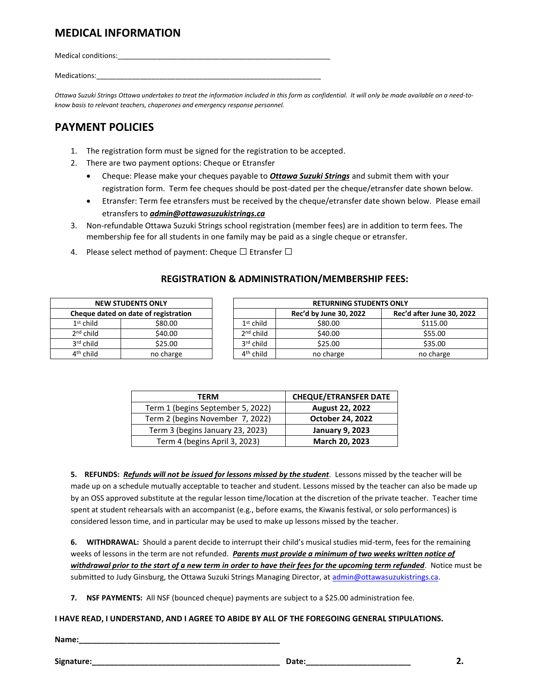### **MEDICAL INFORMATION**

Medical conditions:

Medications:

*Ottawa Suzuki Strings Ottawa undertakes to treat the information included in this form as confidential. It will only be made available on a need-toknow basis to relevant teachers, chaperones and emergency response personnel.*

## **PAYMENT POLICIES**

- 1. The registration form must be signed for the registration to be accepted.
- 2. There are two payment options: Cheque or Etransfer
	- Cheque: Please make your cheques payable to *Ottawa Suzuki Strings* and submit them with your registration form. Term fee cheques should be post-dated per the cheque/etransfer date shown below.
	- Etransfer: Term fee etransfers must be received by the cheque/etransfer date shown below. Please email etransfers to *admin@ottawasuzukistrings.ca*
- 3. Non-refundable Ottawa Suzuki Strings school registration (member fees) are in addition to term fees. The membership fee for all students in one family may be paid as a single cheque or etransfer.
- 4. Please select method of payment: Cheque  $\square$  Etransfer  $\square$

|                       | <b>NEW STUDENTS ONLY</b>             | <b>RETURNING STUDENTS ONLY</b> |                        |                           |
|-----------------------|--------------------------------------|--------------------------------|------------------------|---------------------------|
|                       | Cheque dated on date of registration |                                | Rec'd by June 30, 2022 | Rec'd after June 30, 2022 |
| $1st$ child           | \$80.00                              | $1st$ child                    | \$80.00                | \$115.00                  |
| $2nd$ child           | \$40.00                              | $2nd$ child                    | \$40.00                | \$55.00                   |
| 3rd child             | \$25.00                              | $3rd$ child                    | \$25.00                | \$35.00                   |
| 4 <sup>th</sup> child | no charge                            | 4 <sup>th</sup> child          | no charge              | no charge                 |

#### **REGISTRATION & ADMINISTRATION/MEMBERSHIP FEES:**

| TERM                              | <b>CHEQUE/ETRANSFER DATE</b> |  |
|-----------------------------------|------------------------------|--|
| Term 1 (begins September 5, 2022) | <b>August 22, 2022</b>       |  |
| Term 2 (begins November 7, 2022)  | <b>October 24, 2022</b>      |  |
| Term 3 (begins January 23, 2023)  | <b>January 9, 2023</b>       |  |
| Term 4 (begins April 3, 2023)     | March 20, 2023               |  |

**5. REFUNDS:** *Refunds will not be issued for lessons missed by the student*. Lessons missed by the teacher will be made up on a schedule mutually acceptable to teacher and student. Lessons missed by the teacher can also be made up by an OSS approved substitute at the regular lesson time/location at the discretion of the private teacher. Teacher time spent at student rehearsals with an accompanist (e.g., before exams, the Kiwanis festival, or solo performances) is considered lesson time, and in particular may be used to make up lessons missed by the teacher.

**6. WITHDRAWAL:** Should a parent decide to interrupt their child's musical studies mid-term, fees for the remaining weeks of lessons in the term are not refunded. *Parents must provide a minimum of two weeks written notice of withdrawal prior to the start of a new term in order to have their fees for the upcoming term refunded*. Notice must be submitted to Judy Ginsburg, the Ottawa Suzuki Strings Managing Director, a[t admin@ottawasuzukistrings.ca.](about:blank)

**7. NSF PAYMENTS:** All NSF (bounced cheque) payments are subject to a \$25.00 administration fee.

#### **I HAVE READ, I UNDERSTAND, AND I AGREE TO ABIDE BY ALL OF THE FOREGOING GENERAL STIPULATIONS.**

**Name:\_\_\_\_\_\_\_\_\_\_\_\_\_\_\_\_\_\_\_\_\_\_\_\_\_\_\_\_\_\_\_\_\_\_\_\_\_\_\_\_\_\_\_\_\_\_**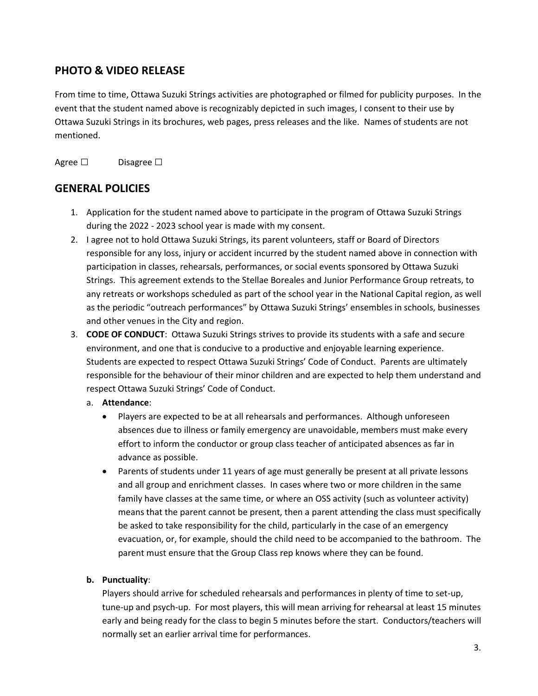# **PHOTO & VIDEO RELEASE**

From time to time, Ottawa Suzuki Strings activities are photographed or filmed for publicity purposes. In the event that the student named above is recognizably depicted in such images, I consent to their use by Ottawa Suzuki Strings in its brochures, web pages, press releases and the like. Names of students are not mentioned.

Agree □ Disagree □

## **GENERAL POLICIES**

- 1. Application for the student named above to participate in the program of Ottawa Suzuki Strings during the 2022 - 2023 school year is made with my consent.
- 2. I agree not to hold Ottawa Suzuki Strings, its parent volunteers, staff or Board of Directors responsible for any loss, injury or accident incurred by the student named above in connection with participation in classes, rehearsals, performances, or social events sponsored by Ottawa Suzuki Strings. This agreement extends to the Stellae Boreales and Junior Performance Group retreats, to any retreats or workshops scheduled as part of the school year in the National Capital region, as well as the periodic "outreach performances" by Ottawa Suzuki Strings' ensembles in schools, businesses and other venues in the City and region.
- 3. **CODE OF CONDUCT**: Ottawa Suzuki Strings strives to provide its students with a safe and secure environment, and one that is conducive to a productive and enjoyable learning experience. Students are expected to respect Ottawa Suzuki Strings' Code of Conduct. Parents are ultimately responsible for the behaviour of their minor children and are expected to help them understand and respect Ottawa Suzuki Strings' Code of Conduct.
	- a. **Attendance**:
		- Players are expected to be at all rehearsals and performances. Although unforeseen absences due to illness or family emergency are unavoidable, members must make every effort to inform the conductor or group class teacher of anticipated absences as far in advance as possible.
		- Parents of students under 11 years of age must generally be present at all private lessons and all group and enrichment classes. In cases where two or more children in the same family have classes at the same time, or where an OSS activity (such as volunteer activity) means that the parent cannot be present, then a parent attending the class must specifically be asked to take responsibility for the child, particularly in the case of an emergency evacuation, or, for example, should the child need to be accompanied to the bathroom. The parent must ensure that the Group Class rep knows where they can be found.

### **b. Punctuality**:

Players should arrive for scheduled rehearsals and performances in plenty of time to set-up, tune-up and psych-up. For most players, this will mean arriving for rehearsal at least 15 minutes early and being ready for the class to begin 5 minutes before the start. Conductors/teachers will normally set an earlier arrival time for performances.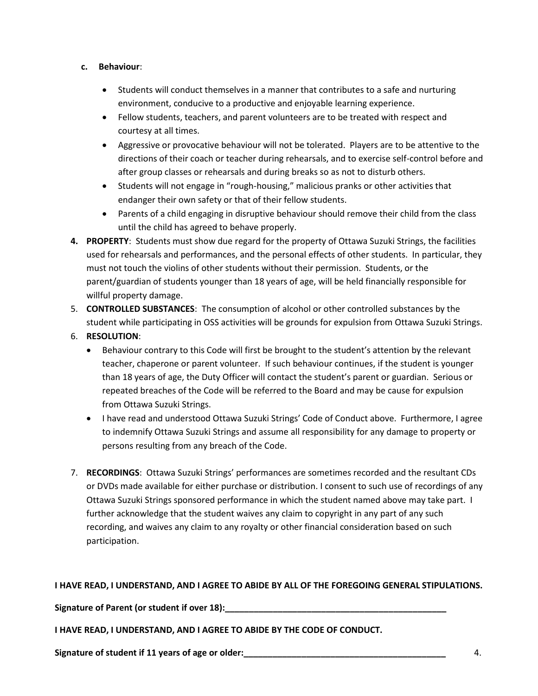#### **c. Behaviour**:

- Students will conduct themselves in a manner that contributes to a safe and nurturing environment, conducive to a productive and enjoyable learning experience.
- Fellow students, teachers, and parent volunteers are to be treated with respect and courtesy at all times.
- Aggressive or provocative behaviour will not be tolerated. Players are to be attentive to the directions of their coach or teacher during rehearsals, and to exercise self-control before and after group classes or rehearsals and during breaks so as not to disturb others.
- Students will not engage in "rough-housing," malicious pranks or other activities that endanger their own safety or that of their fellow students.
- Parents of a child engaging in disruptive behaviour should remove their child from the class until the child has agreed to behave properly.
- **4. PROPERTY**: Students must show due regard for the property of Ottawa Suzuki Strings, the facilities used for rehearsals and performances, and the personal effects of other students. In particular, they must not touch the violins of other students without their permission. Students, or the parent/guardian of students younger than 18 years of age, will be held financially responsible for willful property damage.
- 5. **CONTROLLED SUBSTANCES**:The consumption of alcohol or other controlled substances by the student while participating in OSS activities will be grounds for expulsion from Ottawa Suzuki Strings.
- 6. **RESOLUTION**:
	- Behaviour contrary to this Code will first be brought to the student's attention by the relevant teacher, chaperone or parent volunteer. If such behaviour continues, if the student is younger than 18 years of age, the Duty Officer will contact the student's parent or guardian. Serious or repeated breaches of the Code will be referred to the Board and may be cause for expulsion from Ottawa Suzuki Strings.
	- I have read and understood Ottawa Suzuki Strings' Code of Conduct above. Furthermore, I agree to indemnify Ottawa Suzuki Strings and assume all responsibility for any damage to property or persons resulting from any breach of the Code.
- 7. **RECORDINGS**: Ottawa Suzuki Strings' performances are sometimes recorded and the resultant CDs or DVDs made available for either purchase or distribution. I consent to such use of recordings of any Ottawa Suzuki Strings sponsored performance in which the student named above may take part. I further acknowledge that the student waives any claim to copyright in any part of any such recording, and waives any claim to any royalty or other financial consideration based on such participation.

#### **I HAVE READ, I UNDERSTAND, AND I AGREE TO ABIDE BY ALL OF THE FOREGOING GENERAL STIPULATIONS.**

**Signature of Parent (or student if over 18):\_\_\_\_\_\_\_\_\_\_\_\_\_\_\_\_\_\_\_\_\_\_\_\_\_\_\_\_\_\_\_\_\_\_\_\_\_\_\_\_\_\_\_\_\_\_**

**I HAVE READ, I UNDERSTAND, AND I AGREE TO ABIDE BY THE CODE OF CONDUCT.**

**Signature of student if 11 years of age or older:\_\_\_\_\_\_\_\_\_\_\_\_\_\_\_\_\_\_\_\_\_\_\_\_\_\_\_\_\_\_\_\_\_\_\_\_\_\_\_\_\_\_** 4.